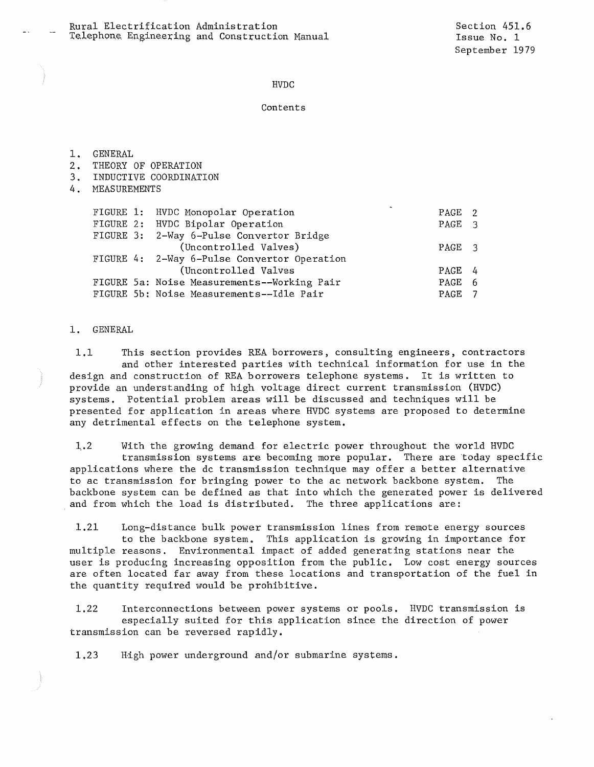## HVDC

### Contents

# 1. GENERAL<br>2. THEORY

- 2. THEORY OF OPERATION
- 3. INDUCTIVE COORDINATION
- 4. MEASUREMENTS

|  | FIGURE 1: HVDC Monopolar Operation          | PAGE 2 |  |
|--|---------------------------------------------|--------|--|
|  | FIGURE 2: HVDC Bipolar Operation            | PAGE 3 |  |
|  | FIGURE 3: 2-Way 6-Pulse Convertor Bridge    |        |  |
|  | (Uncontrolled Valves)                       | PAGE 3 |  |
|  | FIGURE 4: 2-Way 6-Pulse Convertor Operation |        |  |
|  | (Uncontrolled Valves                        | PAGE 4 |  |
|  | FIGURE 5a: Noise Measurements--Working Pair | PAGE 6 |  |
|  | FIGURE 5b: Noise Measurements--Idle Pair    | PAGE 7 |  |

# 1. GENERAL

1.1 This section provides REA borrowers, consulting engineers, contractors and other interested parties with technical information for use in the design and construction of REA borrowers telephone systems, It is written to provide an understanding of high voltage direct current transmission (HVDC) systems. Potential problem areas will be discussed and techniques will be presented for application in areas where HVDC systems are proposed to determine any detrimental effects on the telephone system,

1\_.2 With the growing demand for electric power throughout the world HVDC transmission systems are becoming more popular. There are today specific applications where the de transmission technique may offer a better alternative to ac transmission for bringing power to the ac network backbone system. The backbone system can be defined as that into which the generated power is delivered and from which the load is distributed. The three applications are:

1.21 Long-distance bulk power transmission lines from remote energy sources to the backbone system. This application is growing in importance for multiple reasons. Environmental impact of added generating stations near the user is producing increasing opposition from the public. Low cost energy sources are often located far away from these locations and transportation of the fuel in the quantity required would be prohibitive.

1.22 Interconnections between power systems or pools, HVDC transmission is especially suited for this application since the direction of power transmission can be reversed rapidly.

1.23 High power underground and/or submarine systems.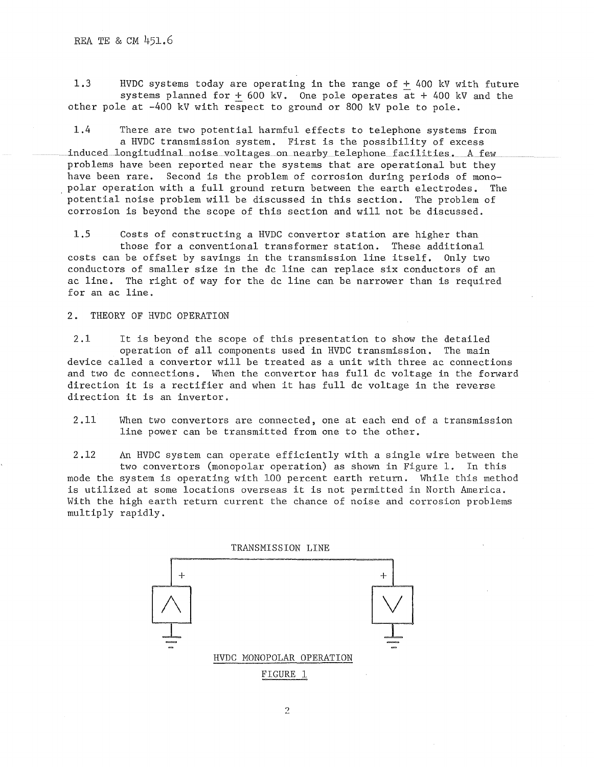1.3 HVDC systems today are operating in the range of+ 400 kV with future systems planned for  $+$  600 kV. One pole operates at  $+$  400 kV and the other pole at -400 kV with respect to ground or 800 kV pole to pole.

1.4 There are two potential harmful effects to telephone systems from a HVDC transmission system. First is the possibility of excess induced longitudinal noise voltages on nearby telephone facilities. A few problems have been reported near the systems that are operational but they have been rare. Second is the problem of corrosion during periods of monopolar operation with a full ground return between the earth electrodes. The potential noise problem will be discussed in this section. The problem of corrosion is beyond the scope of this section and will not be discussed.

1.5 Costs of constructing a HVDC convertor station are higher than those for a conventional transformer station. These additional costs can be offset by savings in the transmission line itself. Only two conductors of smaller size in the de line can replace six conductors of an ac line. The right of way for the de line can be narrower than is required for an ac line.

2. THEORY OF HVDC OPERATION

2.1 It is beyond the scope of this presentation to show the detailed operation of all components used in HVDC transmission. The main device called a convertor will be treated as a unit with three ac connections and two de connections. When the convertor has full de voltage in the forward direction it is a rectifier and when it has full de voltage in the reverse direction it is an invertor.

2.11 When two convertors are connected, one at each end of a transmission line power can be transmitted from one to the other.

2.12 An HVDC system can operate efficiently with a single wire between the two convertors (monopolar operation) as shown in Figure 1. In this mode the system is operating with 100 percent earth return. While this method is utilized at some locations overseas it is not permitted in North America. With the high earth return current the chance of noise and corrosion problems multiply rapidly.

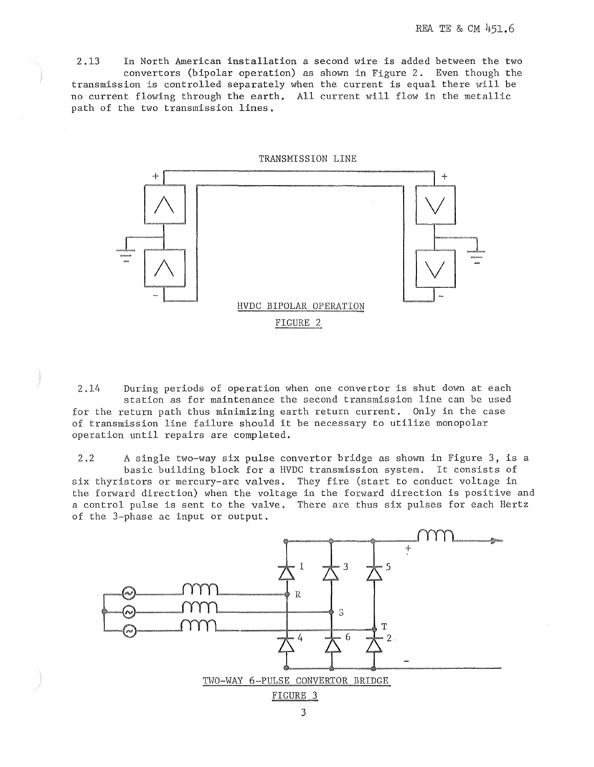2.13 In North American installation a second wire is added between the two convertors (bipolar operation) as shown in Figure 2. Even though the transmission is controlled separately when the current is equal there will be no current flowing through the earth. All current will flow in the metallic path of the two transmission lines,



2.14 During periods of operation when one convertor is shut down at each station as for maintenance the second transmission line can be used for the return path thus minimizing earth return current, Only in the case of transmission line failure should it be necessary to utilize monopolar operation until repairs are completed.

2.2 A single two-way six pulse convertor bridge as shown in Figure 3, is a basic building block for a HVDC transmission system. It consists of six thyristors or mercury-arc valves. They fire (start to conduct voltage in the forward direction) when the voltage in the forward direction is positive and a control pulse is sent to the valve, There are thus six pulses for each Hertz of the 3-phase ac input or output.

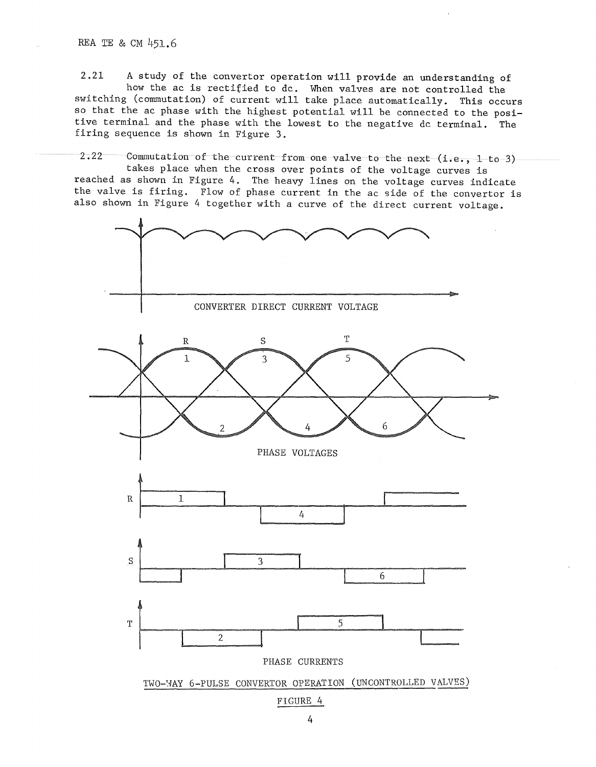REA TE & CM 451.6

2.21 A study of the convertor operation will provide an understanding of how the ac is rectified to de. When valves are not controlled the switching (commutation) of current will take place automatically. This occurs so that the ac phase with the highest potential will be connected to the positive terminal and the phase with the lowest to the negative de terminal. The firing sequence is shown in Figure 3.

2.22 Commutation of the current from one valve to the next (i.e., 1 to 3) takes place when the cross over points of the voltage curves is reached as shown in Figure 4. The heavy lines on the voltage curves indicate the valve is firing. Flow of phase current in the ac side of the convertor is also shown in Figure 4 together with a curve of the direct current voltage.



4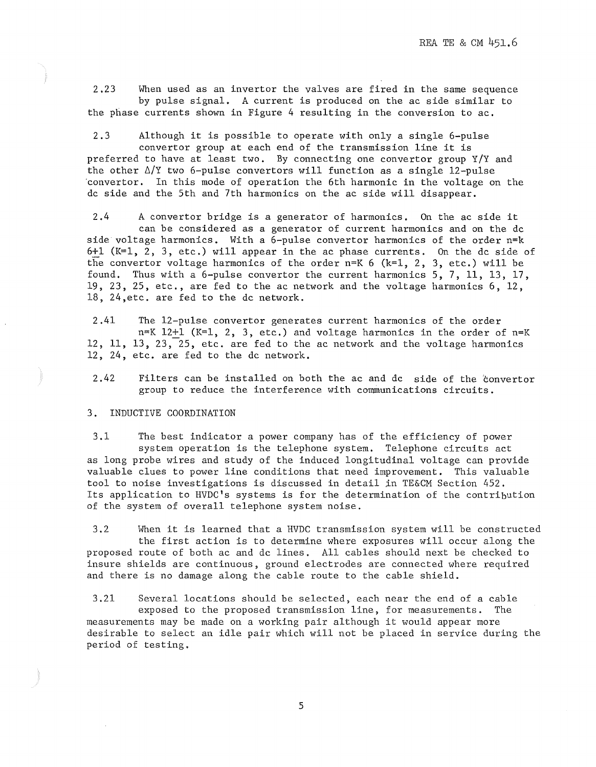2.23 When used as an invertor the valves are fired in the same sequence by pulse signal. A current is produced on the ac side similar to the phase currents shown in Figure 4 resulting in the conversion to ac,

2.3 Although it is possible to operate with only a single 6-pulse convertor group at each end of the transmission line it is preferred to have at least two. By connecting one convertor group  $Y/Y$  and the other  $\Delta$ /Y two 6-pulse convertors will function as a single 12-pulse ·convertor. In this mode of operation the 6th harmonic in the voltage on the de side and the 5th and 7th harmonics on the ac side will disappear.

2.4 A convertor bridge is a generator of harmonics. On the ac side it can be considered as a generator of current harmonics and on the de side voltage harmonics. With a 6-pulse convertor harmonics of the order n=k 6+1 ( $K=1$ ,  $2$ ,  $3$ , etc.) will appear in the ac phase currents. On the dc side of the convertor voltage harmonics of the order  $n=K$  6 ( $k=1, 2, 3,$  etc.) will be found. Thus with a 6-pulse convertor the current harmonics 5, 7, 11, 13, 17, 19, 23, 25, etc., are fed to the ac network and the voltage harmonics 6, 12, 18, 24,etc. are fed to the de network.

2.41 The 12-pulse convertor generates current harmonics of the order n=K 12+1 (K=l, 2, 3, etc.) and voltage harmonics in the order of n=K 12, 11, 13, 23, 25, etc. are fed to the ac network and the voltage harmonics 12, 24, etc. are fed to the de network.

2.42 Filters can be installed on both the ac and dc side of the convertor group to reduce the interference with communications circuits.

# 3. INDUCTIVE COORDINATION

3.1 The best indicator a power company has of the efficiency of power system operation is the telephone system. Telephone circuits act as long probe wires and study of the induced longitudinal voltage can provide valuable clues to power line conditions that need improvement. This valuable tool to noise investigations is discussed in detail in TE&CM Section 452. Its application to HVDC's systems is for the determination of the contribution of the system of overall telephone system noise.

3.2 When it is learned that a HVDC transmission system will be constructed the first action is to determine where exposures will occur along the proposed route of both ac and de lines. All cables should next be checked to insure shields are continuous, ground electrodes are connected where required and there is no damage along the cable route to the cable shield.

3.21 Several locations should be selected, each near the end of a cable exposed to the proposed transmission line, for measurements. The measurements may be made on a working pair although it would appear more desirable to select an idle pair which will not be placed in service during the period of testing.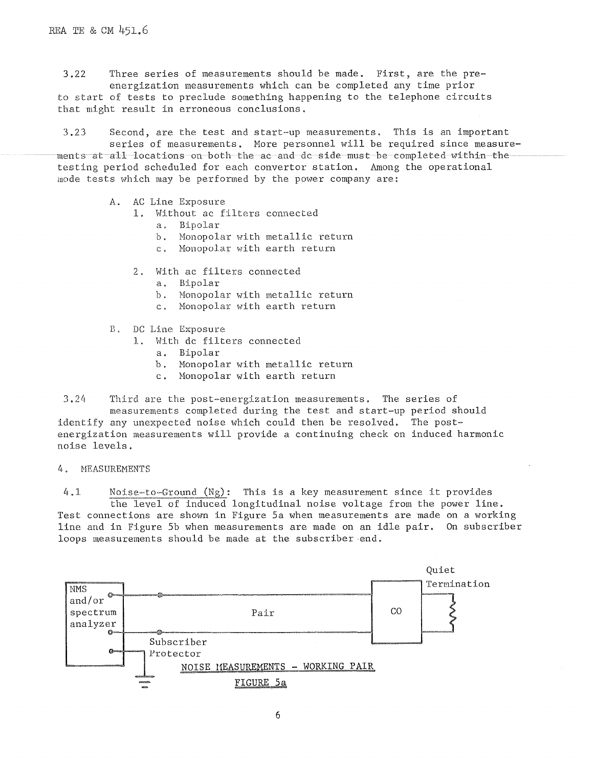3.22 Three series of measurements should be made. First, are the preenergization measurements which can be completed any time prior to start of tests to preclude something happening to the telephone circuits that might result in erroneous conclusions.

3,23 Second, are the test and start-up measurements. This is an important series of measurements. More personnel will be required since measurements at all locations on both the ac and de side must be completed within the testing period scheduled for each convertor station. Among the operational mode tests which may be performed by the power company are:

- A. AC Line Exposure
	- 1. Without ac filters connected
		- a. Bipolar
		- b. Monopolar with metallic return
		- c. Monopolar with earth return
	- 2. With ac filters connected
		- a. Bipolar
		- b. Monopolar with metallic return<br>c. Monopolar with earth return
		- Monopolar with earth return
- *B,* DC Line Exposure
	- 1. With de filters connected
		- a. Bipolar
		- b. Monopolar with metallic return
		- c, Monopolar with earth return

3.24 Third are the post-energization measurements, The series of measurements completed during the test and start-up period should identify any unexpected noise which could then be resolved. The postenergization measurements will provide a continuing check on induced harmonic

### 4. MEASUREMENTS

noise levels.

4.1 Noise-to-Ground  $(Ng)$ : This is a key measurement since it provides the level of induced longitudinal noise voltage from the power line. Test connections are shown in Figure Sa when measurements are made on a working line and in Figure Sb when measurements are made on an idle pair. On subscriber loops measurements should be made at the subscriber end.

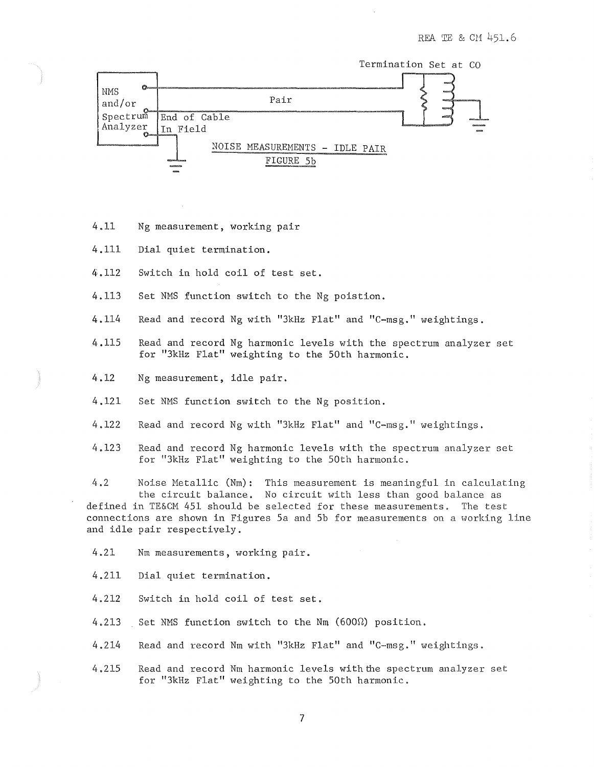

4 .11 Ng measurement, working pair

4 .111 Dial quiet termination.

4.112 Switch in hold coil of test set.

4.113 Set NMS function switch to the Ng poistion.

4.114 Read and record Ng with "3kHz Flat" and "C-msg." weightings.

4.115 Read and record Ng harmonic levels with the spectrum analyzer set for "3kHz Flat" weighting to the 50th harmonic.

4.12 Ng measurement, idle pair.

4 .121 Set NMS function switch to the Ng position.

4.122 Read and record Ng with "3kHz Flat" and "C-msg." weightings.

4.123 Read and record Ng harmonic levels with the spectrum analyzer set for "3kHz Flat" weighting to the 50th harmonic.

4.2 Noise Metallic (Nm): This measurement is meaningful in calculating the circuit balance, No circuit with less than good balance as defined in TE&CM 451 should be selected for these measurements, The test connections are shown in Figures Sa and Sb for measurements on a working line and idle pair respectively.

4.21 Nm measurements, working pair.

4,211 Dial quiet termination.

4.212 Switch in hold coil of test set.

4.213 Set NMS function switch to the Nm ( $600\Omega$ ) position.

4 .214 Read and record Nm with "3kHz Flat" and "C-msg." weightings.

4,215 Read and record Nm harmonic levels with the spectrum analyzer set for "3kHz Flat" weighting to the 50th harmonic.